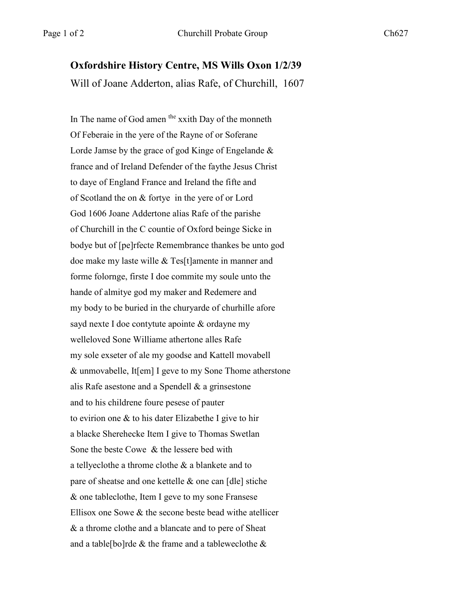## **Oxfordshire History Centre, MS Wills Oxon 1/2/39**

Will of Joane Adderton, alias Rafe, of Churchill, 1607

In The name of God amen the xxith Day of the monneth Of Feberaie in the yere of the Rayne of or Soferane Lorde Jamse by the grace of god Kinge of Engelande & france and of Ireland Defender of the faythe Jesus Christ to daye of England France and Ireland the fifte and of Scotland the on & fortye in the yere of or Lord God 1606 Joane Addertone alias Rafe of the parishe of Churchill in the C countie of Oxford beinge Sicke in bodye but of [pe]rfecte Remembrance thankes be unto god doe make my laste wille & Tes[t]amente in manner and forme folornge, firste I doe commite my soule unto the hande of almitye god my maker and Redemere and my body to be buried in the churyarde of churhille afore sayd nexte I doe contytute apointe & ordayne my welleloved Sone Williame athertone alles Rafe my sole exseter of ale my goodse and Kattell movabell & unmovabelle, It[em] I geve to my Sone Thome atherstone alis Rafe asestone and a Spendell & a grinsestone and to his childrene foure pesese of pauter to evirion one & to his dater Elizabethe I give to hir a blacke Sherehecke Item I give to Thomas Swetlan Sone the beste Cowe & the lessere bed with a tellyeclothe a throme clothe & a blankete and to pare of sheatse and one kettelle & one can [dle] stiche & one tableclothe, Item I geve to my sone Fransese Ellisox one Sowe & the secone beste bead withe atellicer & a throme clothe and a blancate and to pere of Sheat and a table[bo]rde & the frame and a tableweclothe &